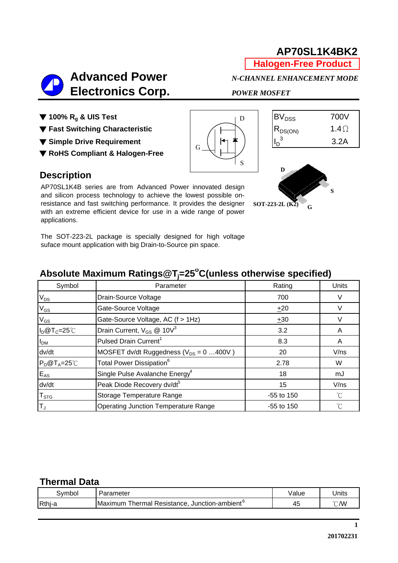**Halogen-Free Product**

# **Advanced Power** *N-CHANNEL ENHANCEMENT MODE*  **Electronics Corp.** *POWER MOSFET*

▼ 100% R<sub>g</sub> & UIS Test **BV**<sub>DSS</sub> 700V

**▼ Fast Switching Characteristic** All All R<sub>DS(ON)</sub> 1.4Ω

▼ Simple Drive Requirement  $\|\cdot\|_{\mathcal{C}}$   $\|\cdot\|_{\mathcal{C}}$   $\|\cdot\|_{\mathcal{D}}$ <sup>3</sup>

▼ **RoHS Compliant & Halogen-Free**

#### **Description**

AP70SL1K4B series are from Advanced Power innovated design and silicon process technology to achieve the lowest possible onresistance and fast switching performance. It provides the designer with an extreme efficient device for use in a wide range of power applications.

The SOT-223-2L package is specially designed for high voltage suface mount application with big Drain-to-Source pin space.

## **Absolute Maximum Ratings@Tj =25o C(unless otherwise specified)**

G

| Symbol                  | Parameter                                    | Rating       | Units       |  |
|-------------------------|----------------------------------------------|--------------|-------------|--|
| $V_{DS}$                | Drain-Source Voltage                         | 700          |             |  |
| $V_{GS}$                | Gate-Source Voltage                          | ±20          | V           |  |
| $V_{GS}$                | Gate-Source Voltage, AC (f > 1Hz)            | ±30          | V           |  |
| $I_D@T_C=25°C$          | Drain Current, $V_{GS}$ @ 10 $V^3$           | 3.2          | A           |  |
| I <sub>DM</sub>         | Pulsed Drain Current <sup>1</sup>            | 8.3          | A           |  |
| dv/dt                   | MOSFET dv/dt Ruggedness ( $V_{DS} = 0$ 400V) | 20           | V/ns        |  |
| $P_D@T_A=25^{\circ}C$   | Total Power Dissipation <sup>6</sup>         | 2.78         | W           |  |
| $E_{AS}$                | Single Pulse Avalanche Energy <sup>4</sup>   | 18           | mJ          |  |
| dv/dt                   | Peak Diode Recovery dv/dt <sup>5</sup>       | 15           | V/ns        |  |
| ${\sf T}_{\text{STG}}$  | Storage Temperature Range                    | -55 to 150   | $^{\circ}C$ |  |
| $\mathsf{T}_\mathsf{J}$ | <b>Operating Junction Temperature Range</b>  | $-55$ to 150 | °C          |  |

#### **Thermal Data**

| svmbol | ameter                                                           | Value | Units |
|--------|------------------------------------------------------------------|-------|-------|
| Rthj-a | Resistance.<br>, Junction-ambient°<br><b>hermal</b> F<br>Maximum | 45    | °C∕W  |



**D S SOT-223-2L** (**K2**)  $C$ 

**1**

D

S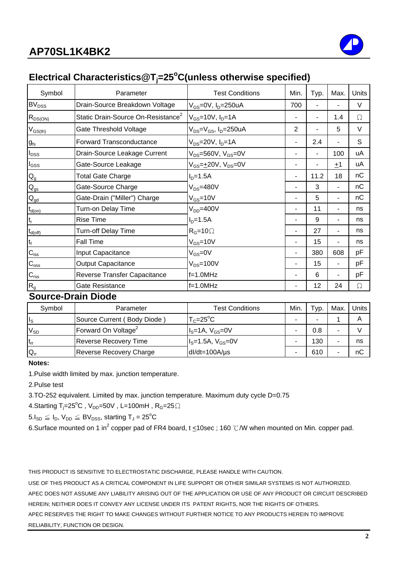

## **Electrical Characteristics@Tj =25o C(unless otherwise specified)**

| Symbol                    | Parameter                                      | <b>Test Conditions</b>                    | Min. | Typ. | Max. | Units |
|---------------------------|------------------------------------------------|-------------------------------------------|------|------|------|-------|
| <b>BV<sub>DSS</sub></b>   | Drain-Source Breakdown Voltage                 | $V_{GS}$ =0V, $I_D$ =250uA                | 700  |      |      | V     |
| $R_{DS(ON)}$              | Static Drain-Source On-Resistance <sup>2</sup> | $V_{GS}$ =10V, $I_{D}$ =1A                |      |      | 1.4  | Ω     |
| $V_{GS(th)}$              | Gate Threshold Voltage                         | $V_{DS} = V_{GS}$ , I <sub>D</sub> =250uA | 2    |      | 5    | V     |
| $g_{fs}$                  | Forward Transconductance                       | $V_{DS} = 20V, I_D = 1A$                  | ٠    | 2.4  | ٠    | S     |
| $I_{\text{DSS}}$          | Drain-Source Leakage Current                   | $V_{DS}$ =560V, $V_{GS}$ =0V              | ۰    |      | 100  | uA    |
| $I_{GSS}$                 | Gate-Source Leakage                            | $V_{GS} = \pm 20V$ , $V_{DS} = 0V$        | ۰    | ۰    | ±1   | uA    |
| $\mathsf{Q}_{\mathsf{g}}$ | <b>Total Gate Charge</b>                       | $ID=1.5A$                                 | ۰    | 11.2 | 18   | nC    |
| $Q_{gs}$                  | Gate-Source Charge                             | $V_{DS} = 480V$                           |      | 3    |      | nC    |
| $\mathbf{Q}_{\text{gd}}$  | Gate-Drain ("Miller") Charge                   | $V_{GS}$ =10V                             |      | 5    |      | nC    |
| $t_{d(on)}$               | Turn-on Delay Time                             | $V_{DD} = 400V$                           |      | 11   |      | ns    |
| $\mathsf{t}_\mathsf{r}$   | <b>Rise Time</b>                               | $ID=1.5A$                                 | ۰    | 9    | ٠    | ns    |
| $t_{d(off)}$              | Turn-off Delay Time                            | $R_G = 10 \Omega$                         | ۰    | 27   | ٠    | ns    |
| $t_f$                     | <b>Fall Time</b>                               | $V_{GS}$ =10V                             | ۰    | 15   | Ξ.   | ns    |
| $C_{iss}$                 | Input Capacitance                              | $V_{GS} = 0V$                             | ٠    | 380  | 608  | рF    |
| $C_{\rm oss}$             | <b>Output Capacitance</b>                      | $V_{DS} = 100V$                           | ۰    | 15   | ٠    | pF    |
| $C_{\text{rss}}$          | Reverse Transfer Capacitance                   | $f=1.0$ MHz                               | ۰    | 6    | Ξ.   | pF    |
| $R_{g}$                   | Gate Resistance                                | $f=1.0MHz$                                | ۰    | 12   | 24   | Ω     |

#### **Source-Drain Diode**

| Symbol                  | Parameter                       | Test Conditions      | Min. | Typ. | Max. | Units |
|-------------------------|---------------------------------|----------------------|------|------|------|-------|
| $\mathsf{I}_\mathsf{S}$ | Source Current (Body Diode)     | $T_c = 25^{\circ}C$  | -    |      |      |       |
| $V_{SD}$                | Forward On Voltage <sup>2</sup> | $IS=1A, VGS=0V$      |      | 0.8  |      |       |
| $t_{rr}$                | <b>Reverse Recovery Time</b>    | $IS=1.5A, VGS=0V$    |      | 130  |      | ns    |
| $Q_{rr}$                | Reverse Recovery Charge         | $dl/dt = 100A/\mu s$ |      | 610  |      | nC    |

#### **Notes:**

1.Pulse width limited by max. junction temperature.

2.Pulse test

3.TO-252 equivalent. Limited by max. junction temperature. Maximum duty cycle D=0.75

4.Starting T<sub>j</sub>=25<sup>o</sup>C,V<sub>DD</sub>=50V,L=100mH,R<sub>G</sub>=25 $\Omega$ 

 $5.I_{SD} \leq I_D$ ,  $V_{DD} \leq BV_{DSS}$ , starting  $T_J = 25^{\circ}C$ 

6.Surface mounted on 1 in<sup>2</sup> copper pad of FR4 board, t <10sec ; 160 °C/W when mounted on Min. copper pad.

THIS PRODUCT IS SENSITIVE TO ELECTROSTATIC DISCHARGE, PLEASE HANDLE WITH CAUTION.

USE OF THIS PRODUCT AS A CRITICAL COMPONENT IN LIFE SUPPORT OR OTHER SIMILAR SYSTEMS IS NOT AUTHORIZED. APEC DOES NOT ASSUME ANY LIABILITY ARISING OUT OF THE APPLICATION OR USE OF ANY PRODUCT OR CIRCUIT DESCRIBED HEREIN; NEITHER DOES IT CONVEY ANY LICENSE UNDER ITS PATENT RIGHTS, NOR THE RIGHTS OF OTHERS. APEC RESERVES THE RIGHT TO MAKE CHANGES WITHOUT FURTHER NOTICE TO ANY PRODUCTS HEREIN TO IMPROVE RELIABILITY, FUNCTION OR DESIGN.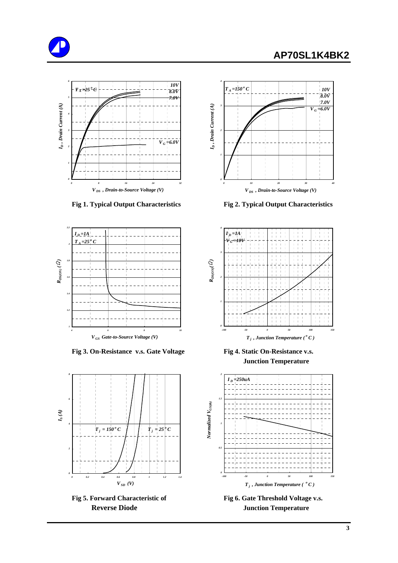





Fig 3. On-Resistance v.s. Gate Voltage Fig 4. Static On-Resistance v.s.



Fig 5. Forward Characteristic of Fig 6. Gate Threshold Voltage v.s.



 **Fig 1. Typical Output Characteristics Fig 2. Typical Output Characteristics**



 **Junction Temperature**



**Reverse Diode Junction Temperature**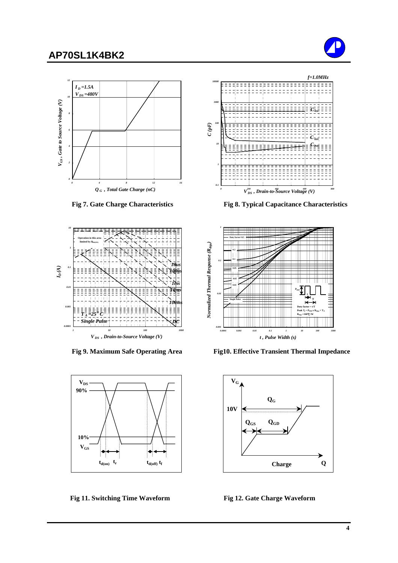









 **Fig 7. Gate Charge Characteristics Fig 8. Typical Capacitance Characteristics**



 **Fig 9. Maximum Safe Operating Area Fig10. Effective Transient Thermal Impedance**



Fig 11. Switching Time Waveform Fig 12. Gate Charge Waveform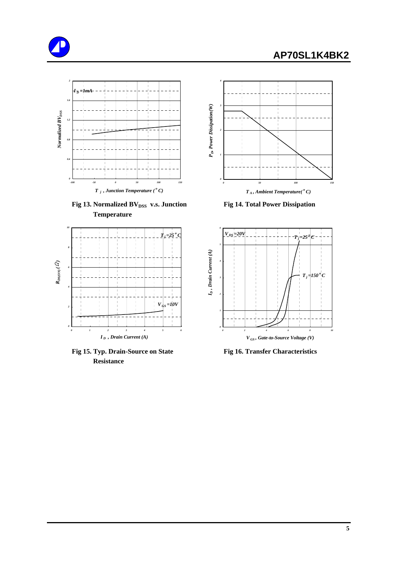





Fig 13. Normalized BV<sub>DSS</sub> v.s. Junction Fig 14. Total Power Dissipation  **Temperature**



Fig 15. Typ. Drain-Source on State Fig 16. Transfer Characteristics  **Resistance**



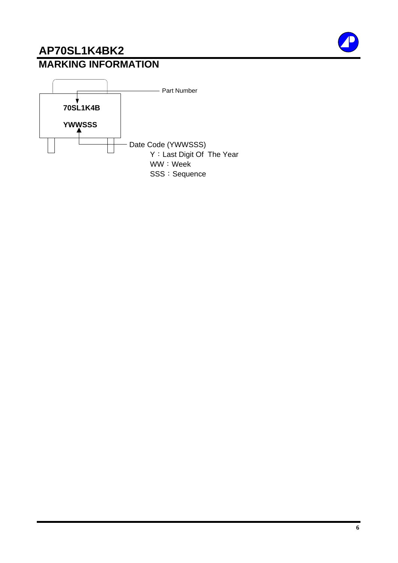## **MARKING INFORMATION AP70SL1K4BK2**

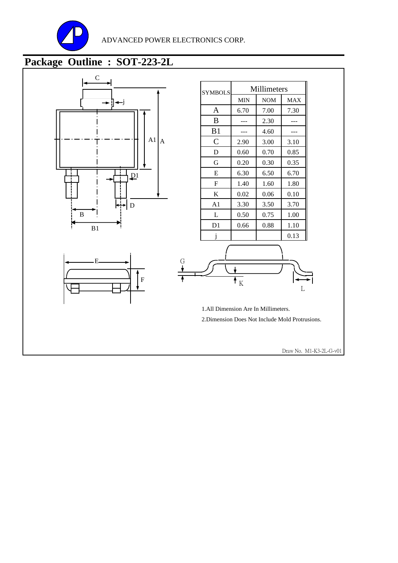

## **Package Outline : SOT-223-2L**